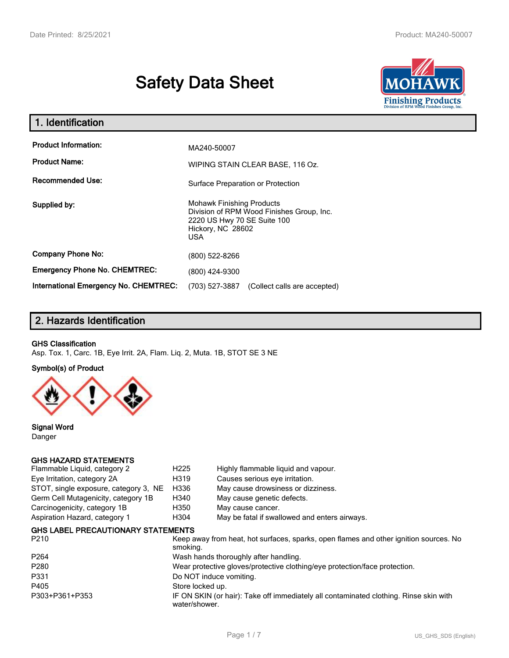# **Safety Data Sheet**



| 1. Identification                                   |                                                                                                                                                 |  |  |  |
|-----------------------------------------------------|-------------------------------------------------------------------------------------------------------------------------------------------------|--|--|--|
| <b>Product Information:</b><br><b>Product Name:</b> | MA240-50007<br>WIPING STAIN CLEAR BASE, 116 Oz.                                                                                                 |  |  |  |
| <b>Recommended Use:</b>                             | Surface Preparation or Protection                                                                                                               |  |  |  |
| Supplied by:                                        | <b>Mohawk Finishing Products</b><br>Division of RPM Wood Finishes Group, Inc.<br>2220 US Hwy 70 SE Suite 100<br>Hickory, NC 28602<br><b>USA</b> |  |  |  |
| <b>Company Phone No:</b>                            | (800) 522-8266                                                                                                                                  |  |  |  |
| <b>Emergency Phone No. CHEMTREC:</b>                | (800) 424-9300                                                                                                                                  |  |  |  |
| International Emergency No. CHEMTREC:               | (703) 527-3887<br>(Collect calls are accepted)                                                                                                  |  |  |  |

# **2. Hazards Identification**

#### **GHS Classification**

Asp. Tox. 1, Carc. 1B, Eye Irrit. 2A, Flam. Liq. 2, Muta. 1B, STOT SE 3 NE

**Symbol(s) of Product**



**Signal Word** Danger

#### **GHS HAZARD STATEMENTS**

| Flammable Liquid, category 2              | H <sub>225</sub>                                                                                  | Highly flammable liquid and vapour.                                                   |  |  |
|-------------------------------------------|---------------------------------------------------------------------------------------------------|---------------------------------------------------------------------------------------|--|--|
| Eye Irritation, category 2A               | H319                                                                                              | Causes serious eye irritation.                                                        |  |  |
| STOT, single exposure, category 3, NE     | H336                                                                                              | May cause drowsiness or dizziness.                                                    |  |  |
| Germ Cell Mutagenicity, category 1B       | H340                                                                                              | May cause genetic defects.                                                            |  |  |
| Carcinogenicity, category 1B              | H350                                                                                              | May cause cancer.                                                                     |  |  |
| Aspiration Hazard, category 1             | H304                                                                                              | May be fatal if swallowed and enters airways.                                         |  |  |
| <b>GHS LABEL PRECAUTIONARY STATEMENTS</b> |                                                                                                   |                                                                                       |  |  |
| P210                                      | Keep away from heat, hot surfaces, sparks, open flames and other ignition sources. No<br>smoking. |                                                                                       |  |  |
| P <sub>264</sub>                          | Wash hands thoroughly after handling.                                                             |                                                                                       |  |  |
| P280                                      | Wear protective gloves/protective clothing/eye protection/face protection.                        |                                                                                       |  |  |
| P331                                      | Do NOT induce vomiting.                                                                           |                                                                                       |  |  |
| P405                                      | Store locked up.                                                                                  |                                                                                       |  |  |
| P303+P361+P353                            | water/shower.                                                                                     | IF ON SKIN (or hair): Take off immediately all contaminated clothing. Rinse skin with |  |  |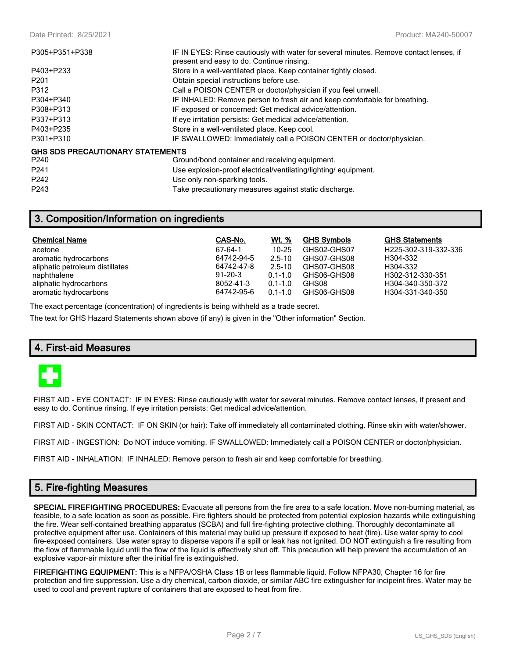| P305+P351+P338                          | IF IN EYES: Rinse cautiously with water for several minutes. Remove contact lenses, if<br>present and easy to do. Continue rinsing. |
|-----------------------------------------|-------------------------------------------------------------------------------------------------------------------------------------|
| P403+P233                               | Store in a well-ventilated place. Keep container tightly closed.                                                                    |
| P <sub>201</sub>                        | Obtain special instructions before use.                                                                                             |
| P312                                    | Call a POISON CENTER or doctor/physician if you feel unwell.                                                                        |
| P304+P340                               | IF INHALED: Remove person to fresh air and keep comfortable for breathing.                                                          |
| P308+P313                               | IF exposed or concerned: Get medical advice/attention.                                                                              |
| P337+P313                               | If eye irritation persists: Get medical advice/attention.                                                                           |
| P403+P235                               | Store in a well-ventilated place. Keep cool.                                                                                        |
| P301+P310                               | IF SWALLOWED: Immediately call a POISON CENTER or doctor/physician.                                                                 |
| <b>GHS SDS PRECAUTIONARY STATEMENTS</b> |                                                                                                                                     |
| P240                                    | Ground/bond container and receiving equipment.                                                                                      |
| P <sub>241</sub>                        | Use explosion-proof electrical/ventilating/lighting/equipment.                                                                      |
| P <sub>242</sub>                        | Use only non-sparking tools.                                                                                                        |
| P <sub>243</sub>                        | Take precautionary measures against static discharge.                                                                               |

## **3. Composition/Information on ingredients**

| <b>Chemical Name</b>            | CAS-No.       | Wt. %       | <b>GHS Symbols</b> | <b>GHS Statements</b> |
|---------------------------------|---------------|-------------|--------------------|-----------------------|
| acetone                         | 67-64-1       | $10 - 25$   | GHS02-GHS07        | H225-302-319-332-336  |
| aromatic hydrocarbons           | 64742-94-5    | $2.5 - 10$  | GHS07-GHS08        | H304-332              |
| aliphatic petroleum distillates | 64742-47-8    | $2.5 - 10$  | GHS07-GHS08        | H304-332              |
| naphthalene                     | $91 - 20 - 3$ | $0.1 - 1.0$ | GHS06-GHS08        | H302-312-330-351      |
| aliphatic hydrocarbons          | 8052-41-3     | $0.1 - 1.0$ | GHS08              | H304-340-350-372      |
| aromatic hydrocarbons           | 64742-95-6    | $0.1 - 1.0$ | GHS06-GHS08        | H304-331-340-350      |

The exact percentage (concentration) of ingredients is being withheld as a trade secret.

The text for GHS Hazard Statements shown above (if any) is given in the "Other information" Section.

## **4. First-aid Measures**



FIRST AID - EYE CONTACT: IF IN EYES: Rinse cautiously with water for several minutes. Remove contact lenses, if present and easy to do. Continue rinsing. If eye irritation persists: Get medical advice/attention.

FIRST AID - SKIN CONTACT: IF ON SKIN (or hair): Take off immediately all contaminated clothing. Rinse skin with water/shower.

FIRST AID - INGESTION: Do NOT induce vomiting. IF SWALLOWED: Immediately call a POISON CENTER or doctor/physician.

FIRST AID - INHALATION: IF INHALED: Remove person to fresh air and keep comfortable for breathing.

## **5. Fire-fighting Measures**

**SPECIAL FIREFIGHTING PROCEDURES:** Evacuate all persons from the fire area to a safe location. Move non-burning material, as feasible, to a safe location as soon as possible. Fire fighters should be protected from potential explosion hazards while extinguishing the fire. Wear self-contained breathing apparatus (SCBA) and full fire-fighting protective clothing. Thoroughly decontaminate all protective equipment after use. Containers of this material may build up pressure if exposed to heat (fire). Use water spray to cool fire-exposed containers. Use water spray to disperse vapors if a spill or leak has not ignited. DO NOT extinguish a fire resulting from the flow of flammable liquid until the flow of the liquid is effectively shut off. This precaution will help prevent the accumulation of an explosive vapor-air mixture after the initial fire is extinguished.

**FIREFIGHTING EQUIPMENT:** This is a NFPA/OSHA Class 1B or less flammable liquid. Follow NFPA30, Chapter 16 for fire protection and fire suppression. Use a dry chemical, carbon dioxide, or similar ABC fire extinguisher for incipeint fires. Water may be used to cool and prevent rupture of containers that are exposed to heat from fire.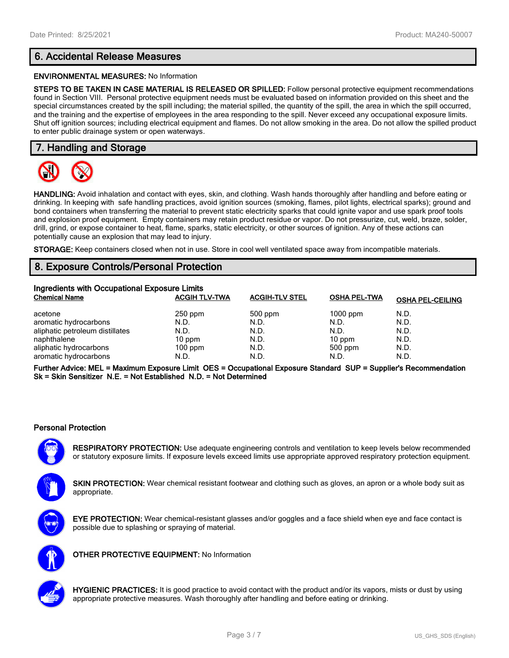# **6. Accidental Release Measures**

#### **ENVIRONMENTAL MEASURES:** No Information

**STEPS TO BE TAKEN IN CASE MATERIAL IS RELEASED OR SPILLED:** Follow personal protective equipment recommendations found in Section VIII. Personal protective equipment needs must be evaluated based on information provided on this sheet and the special circumstances created by the spill including; the material spilled, the quantity of the spill, the area in which the spill occurred, and the training and the expertise of employees in the area responding to the spill. Never exceed any occupational exposure limits. Shut off ignition sources; including electrical equipment and flames. Do not allow smoking in the area. Do not allow the spilled product to enter public drainage system or open waterways.

## **7. Handling and Storage**



**HANDLING:** Avoid inhalation and contact with eyes, skin, and clothing. Wash hands thoroughly after handling and before eating or drinking. In keeping with safe handling practices, avoid ignition sources (smoking, flames, pilot lights, electrical sparks); ground and bond containers when transferring the material to prevent static electricity sparks that could ignite vapor and use spark proof tools and explosion proof equipment. Empty containers may retain product residue or vapor. Do not pressurize, cut, weld, braze, solder, drill, grind, or expose container to heat, flame, sparks, static electricity, or other sources of ignition. Any of these actions can potentially cause an explosion that may lead to injury.

**STORAGE:** Keep containers closed when not in use. Store in cool well ventilated space away from incompatible materials.

## **8. Exposure Controls/Personal Protection**

| Ingredients with Occupational Exposure Limits |                      |                       |                     |                         |  |  |
|-----------------------------------------------|----------------------|-----------------------|---------------------|-------------------------|--|--|
| <b>Chemical Name</b>                          | <b>ACGIH TLV-TWA</b> | <b>ACGIH-TLV STEL</b> | <b>OSHA PEL-TWA</b> | <b>OSHA PEL-CEILING</b> |  |  |
| acetone                                       | $250$ ppm            | 500 ppm               | $1000$ ppm          | N.D.                    |  |  |
| aromatic hydrocarbons                         | N.D.                 | N.D.                  | N.D.                | N.D.                    |  |  |
| aliphatic petroleum distillates               | N.D.                 | N.D.                  | N.D.                | N.D.                    |  |  |
| naphthalene                                   | $10$ ppm             | N.D.                  | $10$ ppm            | N.D.                    |  |  |
| aliphatic hydrocarbons                        | $100$ ppm            | N.D.                  | 500 ppm             | N.D.                    |  |  |
| aromatic hydrocarbons                         | N.D.                 | N.D.                  | N.D.                | N.D.                    |  |  |

**Further Advice: MEL = Maximum Exposure Limit OES = Occupational Exposure Standard SUP = Supplier's Recommendation Sk = Skin Sensitizer N.E. = Not Established N.D. = Not Determined**

#### **Personal Protection**

**RESPIRATORY PROTECTION:** Use adequate engineering controls and ventilation to keep levels below recommended or statutory exposure limits. If exposure levels exceed limits use appropriate approved respiratory protection equipment.

**SKIN PROTECTION:** Wear chemical resistant footwear and clothing such as gloves, an apron or a whole body suit as appropriate.



**EYE PROTECTION:** Wear chemical-resistant glasses and/or goggles and a face shield when eye and face contact is possible due to splashing or spraying of material.



**OTHER PROTECTIVE EQUIPMENT:** No Information



**HYGIENIC PRACTICES:** It is good practice to avoid contact with the product and/or its vapors, mists or dust by using appropriate protective measures. Wash thoroughly after handling and before eating or drinking.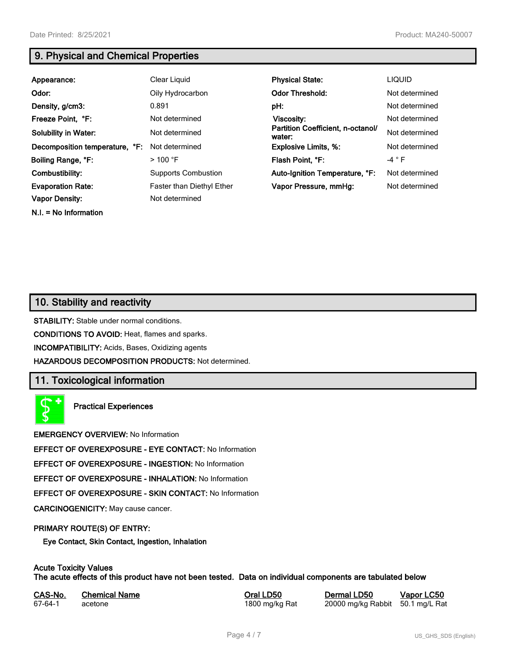**N.I. = No Information**

# **9. Physical and Chemical Properties**

| Appearance:                    | Clear Liquid               | <b>Physical State:</b>                      | <b>LIQUID</b>   |
|--------------------------------|----------------------------|---------------------------------------------|-----------------|
| Odor:                          | Oily Hydrocarbon           | <b>Odor Threshold:</b>                      | Not determined  |
| Density, g/cm3:                | 0.891                      | pH:                                         | Not determined  |
| Freeze Point, °F:              | Not determined             | Viscosity:                                  | Not determined  |
| <b>Solubility in Water:</b>    | Not determined             | Partition Coefficient, n-octanol/<br>water: | Not determined  |
| Decomposition temperature, °F: | Not determined             | <b>Explosive Limits, %:</b>                 | Not determined  |
| Boiling Range, °F:             | $>100$ °F                  | Flash Point, °F:                            | -4 $^{\circ}$ F |
| Combustibility:                | <b>Supports Combustion</b> | Auto-Ignition Temperature, °F:              | Not determined  |
| <b>Evaporation Rate:</b>       | Faster than Diethyl Ether  | Vapor Pressure, mmHg:                       | Not determined  |
| <b>Vapor Density:</b>          | Not determined             |                                             |                 |

## **10. Stability and reactivity**

**STABILITY:** Stable under normal conditions.

**CONDITIONS TO AVOID:** Heat, flames and sparks.

**INCOMPATIBILITY:** Acids, Bases, Oxidizing agents

**HAZARDOUS DECOMPOSITION PRODUCTS:** Not determined.

## **11. Toxicological information**

**Practical Experiences**

**EMERGENCY OVERVIEW:** No Information

**EFFECT OF OVEREXPOSURE - EYE CONTACT:** No Information

**EFFECT OF OVEREXPOSURE - INGESTION:** No Information

**EFFECT OF OVEREXPOSURE - INHALATION:** No Information

**EFFECT OF OVEREXPOSURE - SKIN CONTACT:** No Information

**CARCINOGENICITY:** May cause cancer.

#### **PRIMARY ROUTE(S) OF ENTRY:**

**Eye Contact, Skin Contact, Ingestion, Inhalation**

## **Acute Toxicity Values**

**The acute effects of this product have not been tested. Data on individual components are tabulated below**

| CAS-No. | <b>Chemical Name</b> | Ora |
|---------|----------------------|-----|
| 67-64-1 | acetone              | 180 |

**CAS-No. Chemical Name Oral LD50 Dermal LD50 Vapor LC50** 00 mg/kg Rat 20000 mg/kg Rabbit 50.1 mg/L Rat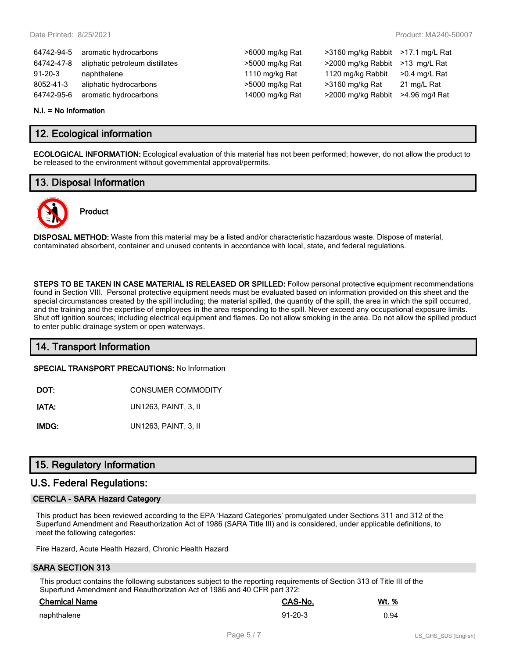>6000 mg/kg Rat >3160 mg/kg Rabbit >17.1 mg/L Rat  $>5000$  mg/kg Rat  $>2000$  mg/kg Rabbit  $>13$  mg/L Rat 1110 mg/kg Rat  $1120$  mg/kg Rabbit  $>0.4$  mg/L Rat >5000 mg/kg Rat >3160 mg/kg Rat 21 mg/L Rat 14000 mg/kg Rat >2000 mg/kg Rabbit >4.96 mg/l Rat

| 64742-94-5    | aromatic hydrocarbons           |
|---------------|---------------------------------|
| 64742-47-8    | aliphatic petroleum distillates |
| $91 - 20 - 3$ | naphthalene                     |
| 8052-41-3     | aliphatic hydrocarbons          |
| 64742-95-6    | aromatic hydrocarbons           |

#### **N.I. = No Information**

## **12. Ecological information**

**ECOLOGICAL INFORMATION:** Ecological evaluation of this material has not been performed; however, do not allow the product to be released to the environment without governmental approval/permits.

## **13. Disposal Information**



# **Product**

**DISPOSAL METHOD:** Waste from this material may be a listed and/or characteristic hazardous waste. Dispose of material, contaminated absorbent, container and unused contents in accordance with local, state, and federal regulations.

**STEPS TO BE TAKEN IN CASE MATERIAL IS RELEASED OR SPILLED:** Follow personal protective equipment recommendations found in Section VIII. Personal protective equipment needs must be evaluated based on information provided on this sheet and the special circumstances created by the spill including; the material spilled, the quantity of the spill, the area in which the spill occurred, and the training and the expertise of employees in the area responding to the spill. Never exceed any occupational exposure limits. Shut off ignition sources; including electrical equipment and flames. Do not allow smoking in the area. Do not allow the spilled product to enter public drainage system or open waterways.

## **14. Transport Information**

**SPECIAL TRANSPORT PRECAUTIONS:** No Information

**DOT:** CONSUMER COMMODITY

**IATA:** UN1263, PAINT, 3, II

**IMDG:** UN1263, PAINT, 3, II

## **15. Regulatory Information**

## **U.S. Federal Regulations:**

#### **CERCLA - SARA Hazard Category**

This product has been reviewed according to the EPA 'Hazard Categories' promulgated under Sections 311 and 312 of the Superfund Amendment and Reauthorization Act of 1986 (SARA Title III) and is considered, under applicable definitions, to meet the following categories:

Fire Hazard, Acute Health Hazard, Chronic Health Hazard

#### **SARA SECTION 313**

This product contains the following substances subject to the reporting requirements of Section 313 of Title III of the Superfund Amendment and Reauthorization Act of 1986 and 40 CFR part 372:

| <b>Chemical Name</b> | <b>CAS-No.</b> | <u>Wt. %</u> |
|----------------------|----------------|--------------|
| naphthalene          | $91 - 20 - 3$  | 0.94         |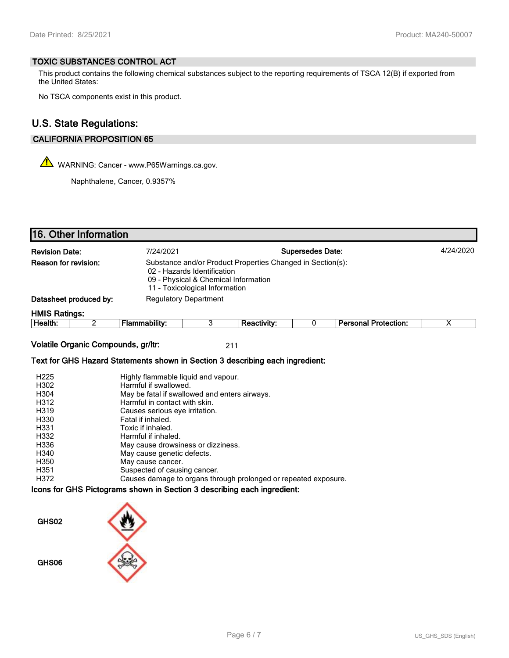### **TOXIC SUBSTANCES CONTROL ACT**

This product contains the following chemical substances subject to the reporting requirements of TSCA 12(B) if exported from the United States:

No TSCA components exist in this product.

# **U.S. State Regulations:**

## **CALIFORNIA PROPOSITION 65**

WARNING: Cancer - www.P65Warnings.ca.gov.

Naphthalene, Cancer, 0.9357%

| 16. Other Information                                                                                                                                                                       |                                                                                                                                                                                                                                                                                                                                                                                                                                               |                              |                    |                         |                             |                         |
|---------------------------------------------------------------------------------------------------------------------------------------------------------------------------------------------|-----------------------------------------------------------------------------------------------------------------------------------------------------------------------------------------------------------------------------------------------------------------------------------------------------------------------------------------------------------------------------------------------------------------------------------------------|------------------------------|--------------------|-------------------------|-----------------------------|-------------------------|
| <b>Revision Date:</b>                                                                                                                                                                       | 7/24/2021                                                                                                                                                                                                                                                                                                                                                                                                                                     |                              |                    | <b>Supersedes Date:</b> |                             | 4/24/2020               |
| Reason for revision:                                                                                                                                                                        | Substance and/or Product Properties Changed in Section(s):<br>02 - Hazards Identification<br>09 - Physical & Chemical Information<br>11 - Toxicological Information                                                                                                                                                                                                                                                                           |                              |                    |                         |                             |                         |
| Datasheet produced by:                                                                                                                                                                      |                                                                                                                                                                                                                                                                                                                                                                                                                                               | <b>Regulatory Department</b> |                    |                         |                             |                         |
| <b>HMIS Ratings:</b>                                                                                                                                                                        |                                                                                                                                                                                                                                                                                                                                                                                                                                               |                              |                    |                         |                             |                         |
| $\overline{2}$<br>Health:                                                                                                                                                                   | <b>Flammability:</b>                                                                                                                                                                                                                                                                                                                                                                                                                          | 3                            | <b>Reactivity:</b> | 0                       | <b>Personal Protection:</b> | $\overline{\mathsf{x}}$ |
| Volatile Organic Compounds, gr/ltr:                                                                                                                                                         |                                                                                                                                                                                                                                                                                                                                                                                                                                               |                              | 211                |                         |                             |                         |
| Text for GHS Hazard Statements shown in Section 3 describing each ingredient:                                                                                                               |                                                                                                                                                                                                                                                                                                                                                                                                                                               |                              |                    |                         |                             |                         |
| H <sub>225</sub><br>H302<br>H304<br>H312<br>H319<br>H330<br>H331<br>H332<br>H336<br>H340<br>H350<br>H351<br>H372<br>Icons for GHS Pictograms shown in Section 3 describing each ingredient: | Highly flammable liquid and vapour.<br>Harmful if swallowed.<br>May be fatal if swallowed and enters airways.<br>Harmful in contact with skin.<br>Causes serious eye irritation.<br>Fatal if inhaled.<br>Toxic if inhaled.<br>Harmful if inhaled.<br>May cause drowsiness or dizziness.<br>May cause genetic defects.<br>May cause cancer.<br>Suspected of causing cancer.<br>Causes damage to organs through prolonged or repeated exposure. |                              |                    |                         |                             |                         |
| GHS02<br>GHS06                                                                                                                                                                              |                                                                                                                                                                                                                                                                                                                                                                                                                                               |                              |                    |                         |                             |                         |